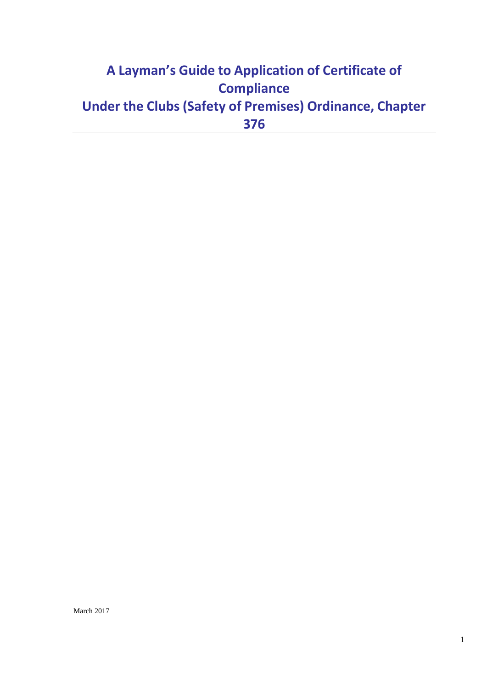# **A Layman's Guide to Application of Certificate of Compliance Under the Clubs (Safety of Premises) Ordinance, Chapter 376**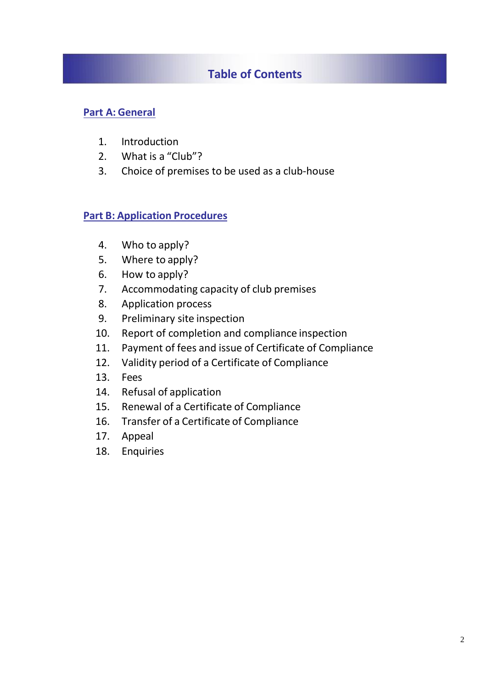# **Table of Contents**

## **Part A: General**

- 1. Introduction
- 2. What is a "Club"?
- 3. Choice of premises to be used as a club-house

### **Part B: Application Procedures**

- 4. Who to apply?
- 5. Where to apply?
- 6. How to apply?
- 7. Accommodating capacity of club premises
- 8. Application process
- 9. Preliminary site inspection
- 10. Report of completion and compliance inspection
- 11. Payment of fees and issue of Certificate of Compliance
- 12. Validity period of a Certificate of Compliance
- 13. Fees
- 14. Refusal of application
- 15. Renewal of a Certificate of Compliance
- 16. Transfer of a Certificate of Compliance
- 17. Appeal
- 18. Enquiries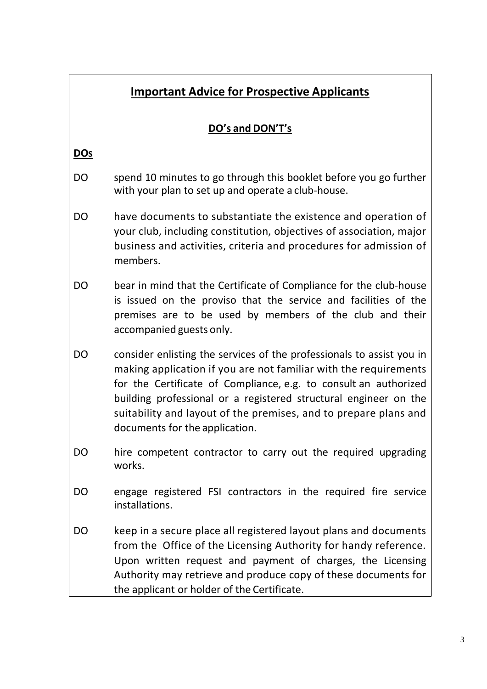|            | <b>Important Advice for Prospective Applicants</b>                                                                                                                                                                                                                                                                                                                                      |
|------------|-----------------------------------------------------------------------------------------------------------------------------------------------------------------------------------------------------------------------------------------------------------------------------------------------------------------------------------------------------------------------------------------|
|            | DO's and DON'T's                                                                                                                                                                                                                                                                                                                                                                        |
| <b>DOs</b> |                                                                                                                                                                                                                                                                                                                                                                                         |
| DO         | spend 10 minutes to go through this booklet before you go further<br>with your plan to set up and operate a club-house.                                                                                                                                                                                                                                                                 |
| DO.        | have documents to substantiate the existence and operation of<br>your club, including constitution, objectives of association, major<br>business and activities, criteria and procedures for admission of<br>members.                                                                                                                                                                   |
| DO.        | bear in mind that the Certificate of Compliance for the club-house<br>is issued on the proviso that the service and facilities of the<br>premises are to be used by members of the club and their<br>accompanied guests only.                                                                                                                                                           |
| DO         | consider enlisting the services of the professionals to assist you in<br>making application if you are not familiar with the requirements<br>for the Certificate of Compliance, e.g. to consult an authorized<br>building professional or a registered structural engineer on the<br>suitability and layout of the premises, and to prepare plans and<br>documents for the application. |
| DO         | hire competent contractor to carry out the required upgrading<br>works.                                                                                                                                                                                                                                                                                                                 |
| DO         | engage registered FSI contractors in the required fire service<br>installations.                                                                                                                                                                                                                                                                                                        |
| DO         | keep in a secure place all registered layout plans and documents<br>from the Office of the Licensing Authority for handy reference.<br>Upon written request and payment of charges, the Licensing<br>Authority may retrieve and produce copy of these documents for<br>the applicant or holder of the Certificate.                                                                      |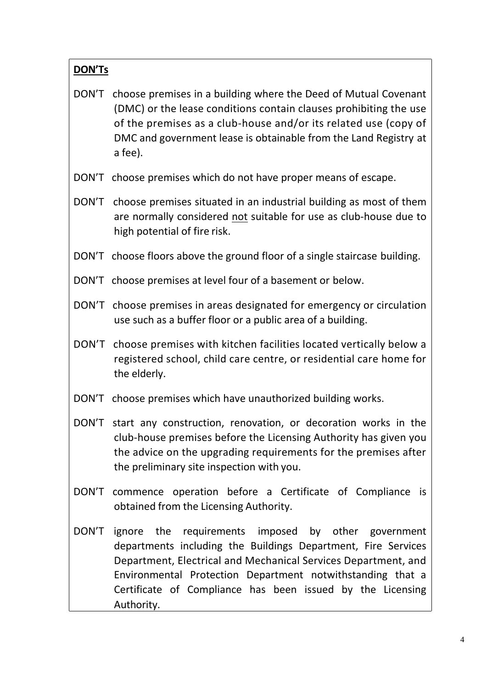# **DON'Ts**

- DON'T choose premises in a building where the Deed of Mutual Covenant (DMC) or the lease conditions contain clauses prohibiting the use of the premises as a club-house and/or its related use (copy of DMC and government lease is obtainable from the Land Registry at a fee).
- DON'T choose premises which do not have proper means of escape.
- DON'T choose premises situated in an industrial building as most of them are normally considered not suitable for use as club-house due to high potential of fire risk.
- DON'T choose floors above the ground floor of a single staircase building.
- DON'T choose premises at level four of a basement or below.
- DON'T choose premises in areas designated for emergency or circulation use such as a buffer floor or a public area of a building.
- DON'T choose premises with kitchen facilities located vertically below a registered school, child care centre, or residential care home for the elderly.
- DON'T choose premises which have unauthorized building works.
- DON'T start any construction, renovation, or decoration works in the club-house premises before the Licensing Authority has given you the advice on the upgrading requirements for the premises after the preliminary site inspection with you.
- DON'T commence operation before a Certificate of Compliance is obtained from the Licensing Authority.
- DON'T ignore the requirements imposed by other government departments including the Buildings Department, Fire Services Department, Electrical and Mechanical Services Department, and Environmental Protection Department notwithstanding that a Certificate of Compliance has been issued by the Licensing Authority.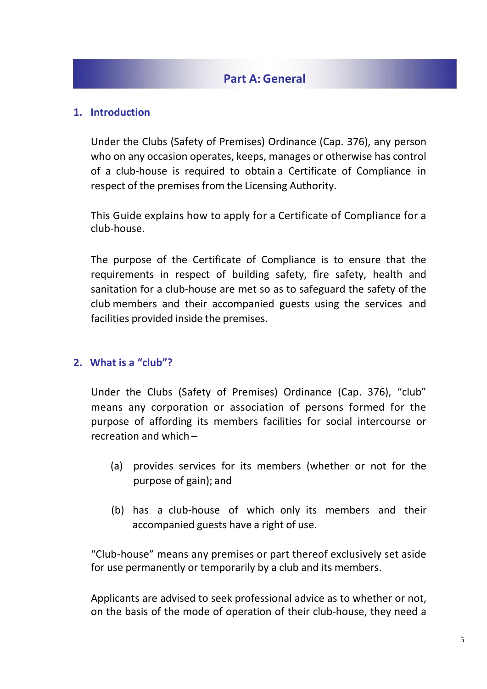# **Part A: General**

#### **1. Introduction**

Under the Clubs (Safety of Premises) Ordinance (Cap. 376), any person who on any occasion operates, keeps, manages or otherwise has control of a club-house is required to obtain a Certificate of Compliance in respect of the premises from the Licensing Authority.

This Guide explains how to apply for a Certificate of Compliance for a club-house.

The purpose of the Certificate of Compliance is to ensure that the requirements in respect of building safety, fire safety, health and sanitation for a club-house are met so as to safeguard the safety of the club members and their accompanied guests using the services and facilities provided inside the premises.

#### **2. What is a "club"?**

Under the Clubs (Safety of Premises) Ordinance (Cap. 376), "club" means any corporation or association of persons formed for the purpose of affording its members facilities for social intercourse or recreation and which –

- (a) provides services for its members (whether or not for the purpose of gain); and
- (b) has a club-house of which only its members and their accompanied guests have a right of use.

"Club-house" means any premises or part thereof exclusively set aside for use permanently or temporarily by a club and its members.

Applicants are advised to seek professional advice as to whether or not, on the basis of the mode of operation of their club-house, they need a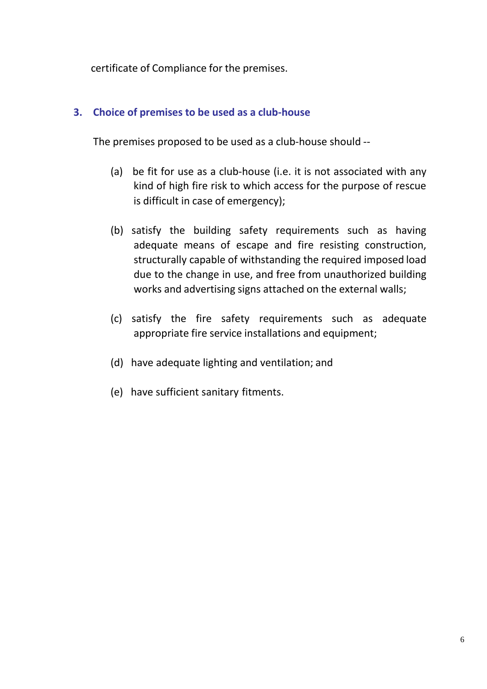certificate of Compliance for the premises.

## **3. Choice of premises to be used as a club-house**

The premises proposed to be used as a club-house should --

- (a) be fit for use as a club-house (i.e. it is not associated with any kind of high fire risk to which access for the purpose of rescue is difficult in case of emergency);
- (b) satisfy the building safety requirements such as having adequate means of escape and fire resisting construction, structurally capable of withstanding the required imposed load due to the change in use, and free from unauthorized building works and advertising signs attached on the external walls;
- (c) satisfy the fire safety requirements such as adequate appropriate fire service installations and equipment;
- (d) have adequate lighting and ventilation; and
- (e) have sufficient sanitary fitments.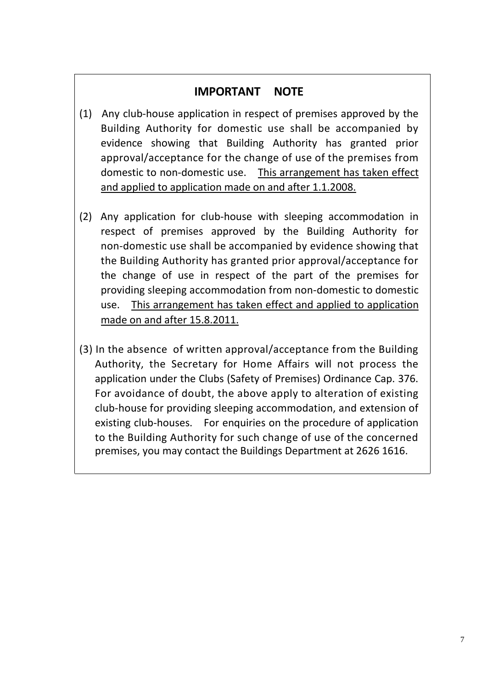# **IMPORTANT NOTE**

- (1) Any club-house application in respect of premises approved by the Building Authority for domestic use shall be accompanied by evidence showing that Building Authority has granted prior approval/acceptance for the change of use of the premises from domestic to non-domestic use. This arrangement has taken effect and applied to application made on and after 1.1.2008.
- (2) Any application for club-house with sleeping accommodation in respect of premises approved by the Building Authority for non-domestic use shall be accompanied by evidence showing that the Building Authority has granted prior approval/acceptance for the change of use in respect of the part of the premises for providing sleeping accommodation from non-domestic to domestic use. This arrangement has taken effect and applied to application made on and after 15.8.2011.
- (3) In the absence of written approval/acceptance from the Building Authority, the Secretary for Home Affairs will not process the application under the Clubs (Safety of Premises) Ordinance Cap. 376. For avoidance of doubt, the above apply to alteration of existing club-house for providing sleeping accommodation, and extension of existing club-houses. For enquiries on the procedure of application to the Building Authority for such change of use of the concerned premises, you may contact the Buildings Department at 2626 1616.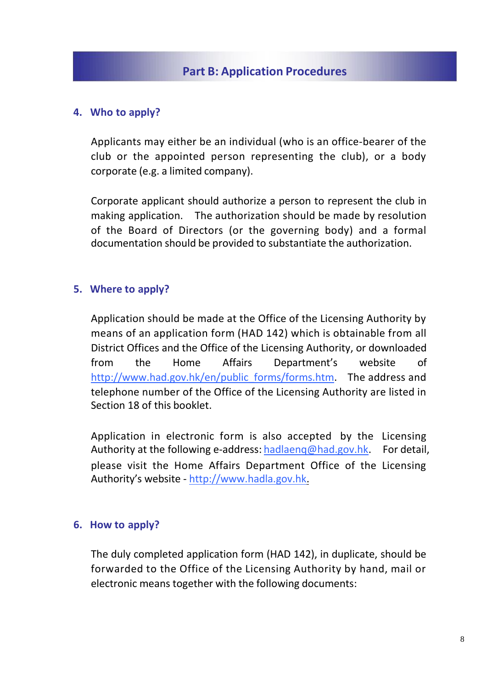### **4. Who to apply?**

Applicants may either be an individual (who is an office-bearer of the club or the appointed person representing the club), or a body corporate (e.g. a limited company).

Corporate applicant should authorize a person to represent the club in making application. The authorization should be made by resolution of the Board of Directors (or the governing body) and a formal documentation should be provided to substantiate the authorization.

### **5. Where to apply?**

Application should be made at the Office of the Licensing Authority by means of an application form (HAD 142) which is obtainable from all District Offices and the Office of the Licensing Authority, or downloaded from the Home Affairs Department's website of http://www.had.gov.hk/en/public\_forms/forms.htm. The address and telephone number of the Office of the Licensing Authority are listed in Section 18 of this booklet.

Application in electronic form is also accepted by the Licensing Authority at the following e-address: hadlaenq@had.gov.hk. For detail, please visit the Home Affairs Department Office of the Licensing Authority's website - http://www.hadla.gov.hk.

#### **6. How to apply?**

The duly completed application form (HAD 142), in duplicate, should be forwarded to the Office of the Licensing Authority by hand, mail or electronic means together with the following documents: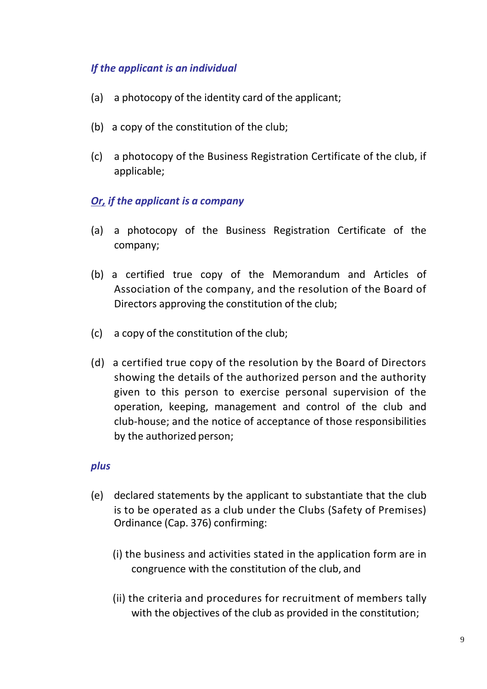# *If the applicant is an individual*

- (a) a photocopy of the identity card of the applicant;
- (b) a copy of the constitution of the club;
- (c) a photocopy of the Business Registration Certificate of the club, if applicable;

# *Or, if the applicant is a company*

- (a) a photocopy of the Business Registration Certificate of the company;
- (b) a certified true copy of the Memorandum and Articles of Association of the company, and the resolution of the Board of Directors approving the constitution of the club;
- (c) a copy of the constitution of the club;
- (d) a certified true copy of the resolution by the Board of Directors showing the details of the authorized person and the authority given to this person to exercise personal supervision of the operation, keeping, management and control of the club and club-house; and the notice of acceptance of those responsibilities by the authorized person;

### *plus*

- (e) declared statements by the applicant to substantiate that the club is to be operated as a club under the Clubs (Safety of Premises) Ordinance (Cap. 376) confirming:
	- (i) the business and activities stated in the application form are in congruence with the constitution of the club, and
	- (ii) the criteria and procedures for recruitment of members tally with the objectives of the club as provided in the constitution;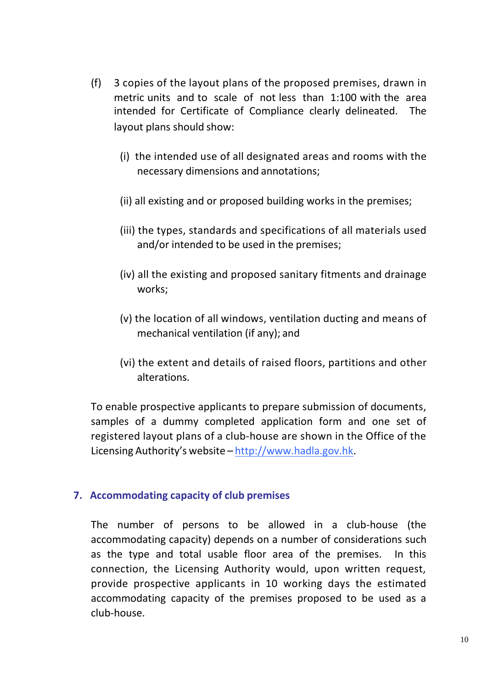- (f) 3 copies of the layout plans of the proposed premises, drawn in metric units and to scale of not less than 1:100 with the area intended for Certificate of Compliance clearly delineated. The layout plans should show:
	- (i) the intended use of all designated areas and rooms with the necessary dimensions and annotations;
	- (ii) all existing and or proposed building works in the premises;
	- (iii) the types, standards and specifications of all materials used and/or intended to be used in the premises;
	- (iv) all the existing and proposed sanitary fitments and drainage works;
	- (v) the location of all windows, ventilation ducting and means of mechanical ventilation (if any); and
	- (vi) the extent and details of raised floors, partitions and other alterations.

To enable prospective applicants to prepare submission of documents, samples of a dummy completed application form and one set of registered layout plans of a club-house are shown in the Office of the Licensing Authority's website – http://www.hadla.gov.hk.

### **7. Accommodating capacity of club premises**

The number of persons to be allowed in a club-house (the accommodating capacity) depends on a number of considerations such as the type and total usable floor area of the premises. In this connection, the Licensing Authority would, upon written request, provide prospective applicants in 10 working days the estimated accommodating capacity of the premises proposed to be used as a club-house.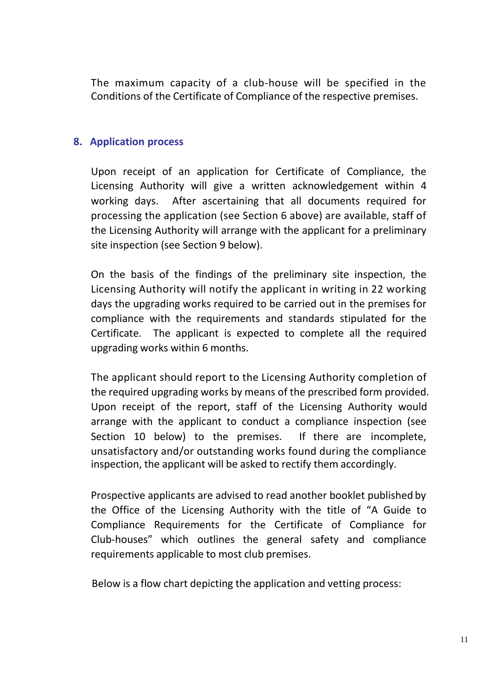The maximum capacity of a club-house will be specified in the Conditions of the Certificate of Compliance of the respective premises.

#### **8. Application process**

Upon receipt of an application for Certificate of Compliance, the Licensing Authority will give a written acknowledgement within 4 working days. After ascertaining that all documents required for processing the application (see Section 6 above) are available, staff of the Licensing Authority will arrange with the applicant for a preliminary site inspection (see Section 9 below).

On the basis of the findings of the preliminary site inspection, the Licensing Authority will notify the applicant in writing in 22 working days the upgrading works required to be carried out in the premises for compliance with the requirements and standards stipulated for the Certificate. The applicant is expected to complete all the required upgrading works within 6 months.

The applicant should report to the Licensing Authority completion of the required upgrading works by means of the prescribed form provided. Upon receipt of the report, staff of the Licensing Authority would arrange with the applicant to conduct a compliance inspection (see Section 10 below) to the premises. If there are incomplete, unsatisfactory and/or outstanding works found during the compliance inspection, the applicant will be asked to rectify them accordingly.

Prospective applicants are advised to read another booklet published by the Office of the Licensing Authority with the title of "A Guide to Compliance Requirements for the Certificate of Compliance for Club-houses" which outlines the general safety and compliance requirements applicable to most club premises.

Below is a flow chart depicting the application and vetting process: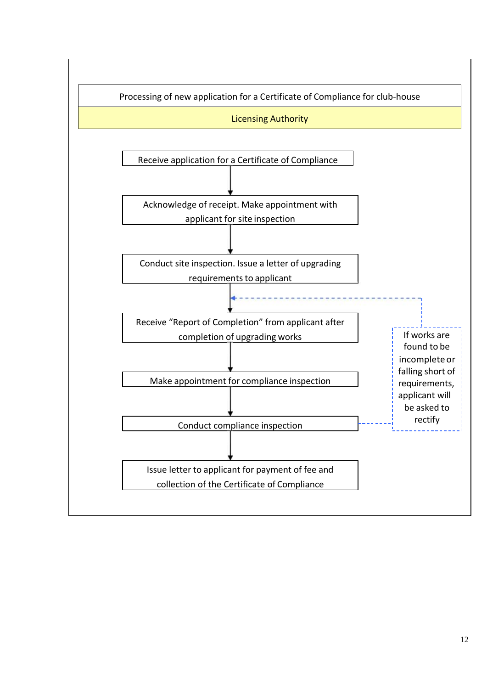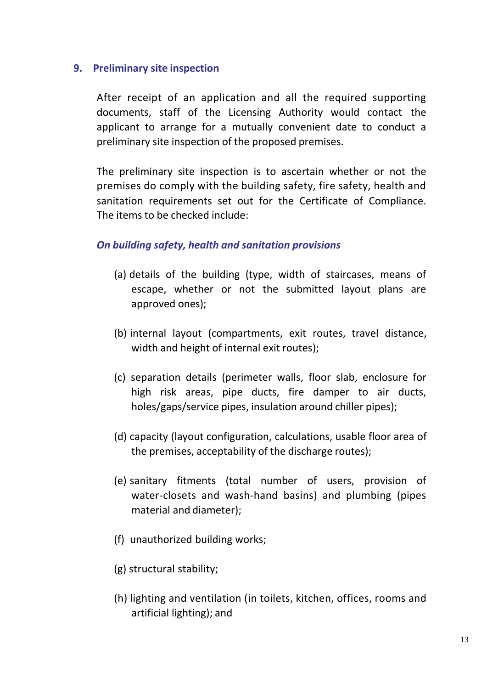#### **9. Preliminary site inspection**

After receipt of an application and all the required supporting documents, staff of the Licensing Authority would contact the applicant to arrange for a mutually convenient date to conduct a preliminary site inspection of the proposed premises.

The preliminary site inspection is to ascertain whether or not the premises do comply with the building safety, fire safety, health and sanitation requirements set out for the Certificate of Compliance. The items to be checked include:

#### *On building safety, health and sanitation provisions*

- (a) details of the building (type, width of staircases, means of escape, whether or not the submitted layout plans are approved ones);
- (b) internal layout (compartments, exit routes, travel distance, width and height of internal exit routes);
- (c) separation details (perimeter walls, floor slab, enclosure for high risk areas, pipe ducts, fire damper to air ducts, holes/gaps/service pipes, insulation around chiller pipes);
- (d) capacity (layout configuration, calculations, usable floor area of the premises, acceptability of the discharge routes);
- (e) sanitary fitments (total number of users, provision of water-closets and wash-hand basins) and plumbing (pipes material and diameter);
- (f) unauthorized building works;
- (g) structural stability;
- (h) lighting and ventilation (in toilets, kitchen, offices, rooms and artificial lighting); and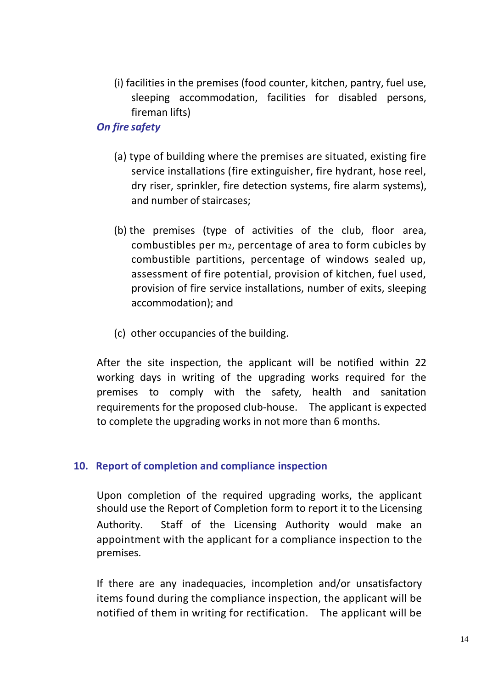(i) facilities in the premises (food counter, kitchen, pantry, fuel use, sleeping accommodation, facilities for disabled persons, fireman lifts)

## *On fire safety*

- (a) type of building where the premises are situated, existing fire service installations (fire extinguisher, fire hydrant, hose reel, dry riser, sprinkler, fire detection systems, fire alarm systems), and number of staircases;
- (b) the premises (type of activities of the club, floor area, combustibles per m2, percentage of area to form cubicles by combustible partitions, percentage of windows sealed up, assessment of fire potential, provision of kitchen, fuel used, provision of fire service installations, number of exits, sleeping accommodation); and
- (c) other occupancies of the building.

After the site inspection, the applicant will be notified within 22 working days in writing of the upgrading works required for the premises to comply with the safety, health and sanitation requirements for the proposed club-house. The applicant is expected to complete the upgrading works in not more than 6 months.

#### **10. Report of completion and compliance inspection**

Upon completion of the required upgrading works, the applicant should use the Report of Completion form to report it to the Licensing Authority. Staff of the Licensing Authority would make an appointment with the applicant for a compliance inspection to the premises.

If there are any inadequacies, incompletion and/or unsatisfactory items found during the compliance inspection, the applicant will be notified of them in writing for rectification. The applicant will be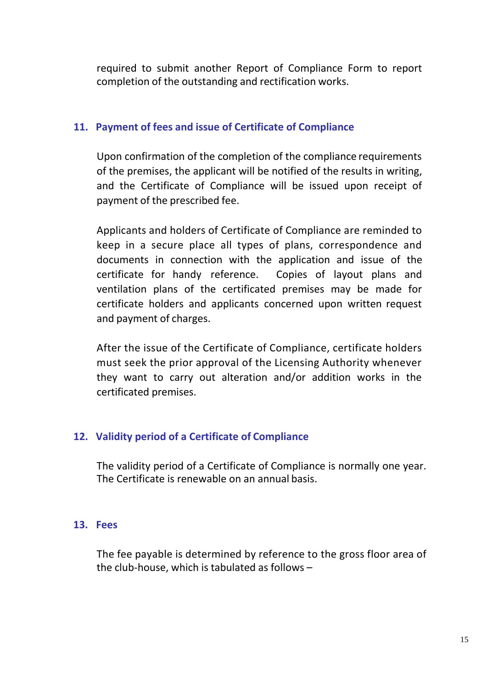required to submit another Report of Compliance Form to report completion of the outstanding and rectification works.

## **11. Payment of fees and issue of Certificate of Compliance**

Upon confirmation of the completion of the compliance requirements of the premises, the applicant will be notified of the results in writing, and the Certificate of Compliance will be issued upon receipt of payment of the prescribed fee.

Applicants and holders of Certificate of Compliance are reminded to keep in a secure place all types of plans, correspondence and documents in connection with the application and issue of the certificate for handy reference. Copies of layout plans and ventilation plans of the certificated premises may be made for certificate holders and applicants concerned upon written request and payment of charges.

After the issue of the Certificate of Compliance, certificate holders must seek the prior approval of the Licensing Authority whenever they want to carry out alteration and/or addition works in the certificated premises.

# **12. Validity period of a Certificate of Compliance**

The validity period of a Certificate of Compliance is normally one year. The Certificate is renewable on an annual basis.

### **13. Fees**

The fee payable is determined by reference to the gross floor area of the club-house, which is tabulated as follows –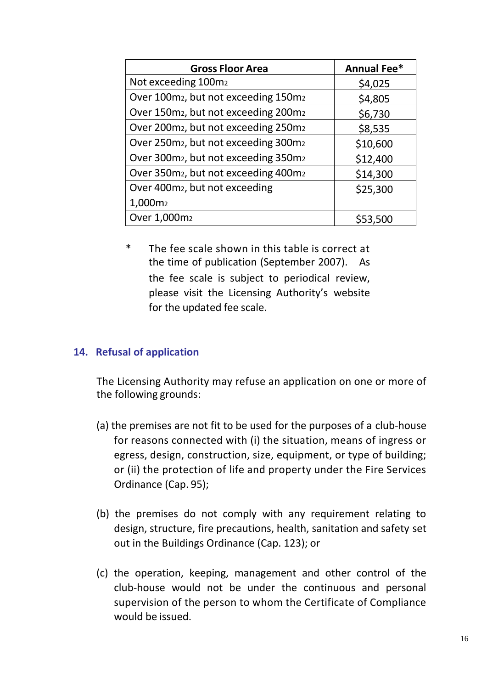| <b>Gross Floor Area</b>                                      | <b>Annual Fee*</b> |
|--------------------------------------------------------------|--------------------|
| Not exceeding 100m <sub>2</sub>                              | \$4,025            |
| Over 100m <sub>2</sub> , but not exceeding 150m <sub>2</sub> | \$4,805            |
| Over 150m <sub>2</sub> , but not exceeding 200m <sub>2</sub> | \$6,730            |
| Over 200m <sub>2</sub> , but not exceeding 250m <sub>2</sub> | \$8,535            |
| Over 250m <sub>2</sub> , but not exceeding 300m <sub>2</sub> | \$10,600           |
| Over 300m <sub>2</sub> , but not exceeding 350m <sub>2</sub> | \$12,400           |
| Over 350m <sub>2</sub> , but not exceeding 400m <sub>2</sub> | \$14,300           |
| Over 400m <sub>2</sub> , but not exceeding                   | \$25,300           |
| 1,000m <sub>2</sub>                                          |                    |
| Over 1,000m <sub>2</sub>                                     | 553.500            |

\* The fee scale shown in this table is correct at the time of publication (September 2007). As the fee scale is subject to periodical review, please visit the Licensing Authority's website for the updated fee scale.

#### **14. Refusal of application**

The Licensing Authority may refuse an application on one or more of the following grounds:

- (a) the premises are not fit to be used for the purposes of a club-house for reasons connected with (i) the situation, means of ingress or egress, design, construction, size, equipment, or type of building; or (ii) the protection of life and property under the Fire Services Ordinance (Cap. 95);
- (b) the premises do not comply with any requirement relating to design, structure, fire precautions, health, sanitation and safety set out in the Buildings Ordinance (Cap. 123); or
- (c) the operation, keeping, management and other control of the club-house would not be under the continuous and personal supervision of the person to whom the Certificate of Compliance would be issued.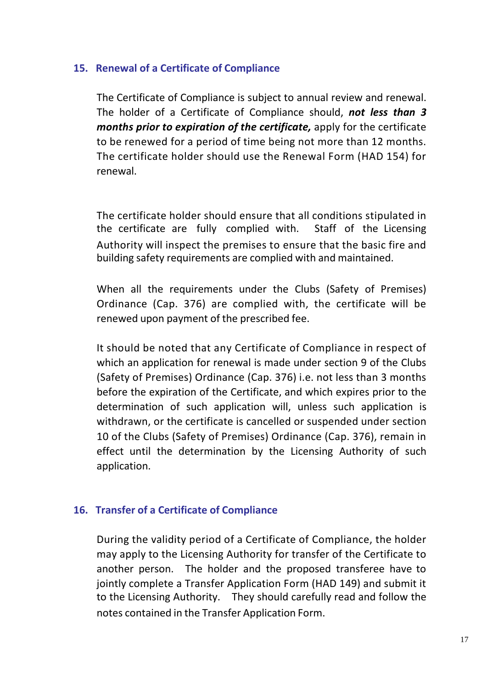## **15. Renewal of a Certificate of Compliance**

The Certificate of Compliance is subject to annual review and renewal. The holder of a Certificate of Compliance should, *not less than 3 months prior to expiration of the certificate,* apply for the certificate to be renewed for a period of time being not more than 12 months. The certificate holder should use the Renewal Form (HAD 154) for renewal.

The certificate holder should ensure that all conditions stipulated in the certificate are fully complied with. Staff of the Licensing Authority will inspect the premises to ensure that the basic fire and building safety requirements are complied with and maintained.

When all the requirements under the Clubs (Safety of Premises) Ordinance (Cap. 376) are complied with, the certificate will be renewed upon payment of the prescribed fee.

It should be noted that any Certificate of Compliance in respect of which an application for renewal is made under section 9 of the Clubs (Safety of Premises) Ordinance (Cap. 376) i.e. not less than 3 months before the expiration of the Certificate, and which expires prior to the determination of such application will, unless such application is withdrawn, or the certificate is cancelled or suspended under section 10 of the Clubs (Safety of Premises) Ordinance (Cap. 376), remain in effect until the determination by the Licensing Authority of such application.

# **16. Transfer of a Certificate of Compliance**

During the validity period of a Certificate of Compliance, the holder may apply to the Licensing Authority for transfer of the Certificate to another person. The holder and the proposed transferee have to jointly complete a Transfer Application Form (HAD 149) and submit it to the Licensing Authority. They should carefully read and follow the notes contained in the Transfer Application Form.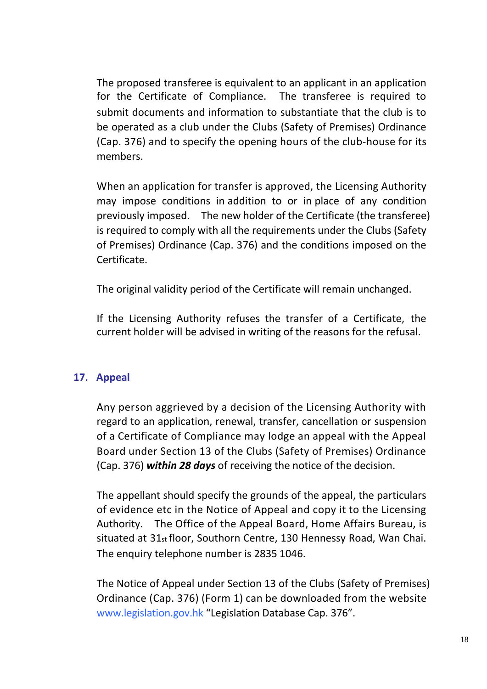The proposed transferee is equivalent to an applicant in an application for the Certificate of Compliance. The transferee is required to submit documents and information to substantiate that the club is to be operated as a club under the Clubs (Safety of Premises) Ordinance (Cap. 376) and to specify the opening hours of the club-house for its members.

When an application for transfer is approved, the Licensing Authority may impose conditions in addition to or in place of any condition previously imposed. The new holder of the Certificate (the transferee) is required to comply with all the requirements under the Clubs (Safety of Premises) Ordinance (Cap. 376) and the conditions imposed on the Certificate.

The original validity period of the Certificate will remain unchanged.

If the Licensing Authority refuses the transfer of a Certificate, the current holder will be advised in writing of the reasons for the refusal.

# **17. Appeal**

Any person aggrieved by a decision of the Licensing Authority with regard to an application, renewal, transfer, cancellation or suspension of a Certificate of Compliance may lodge an appeal with the Appeal Board under Section 13 of the Clubs (Safety of Premises) Ordinance (Cap. 376) *within 28 days* of receiving the notice of the decision.

The appellant should specify the grounds of the appeal, the particulars of evidence etc in the Notice of Appeal and copy it to the Licensing Authority. The Office of the Appeal Board, Home Affairs Bureau, is situated at 31<sub>st</sub> floor, Southorn Centre, 130 Hennessy Road, Wan Chai. The enquiry telephone number is 2835 1046.

The Notice of Appeal under Section 13 of the Clubs (Safety of Premises) Ordinance (Cap. 376) (Form 1) can be downloaded from the website [www.legislation.gov.hk](http://www.legislation.gov.hk/) "Legislation Database Cap. 376".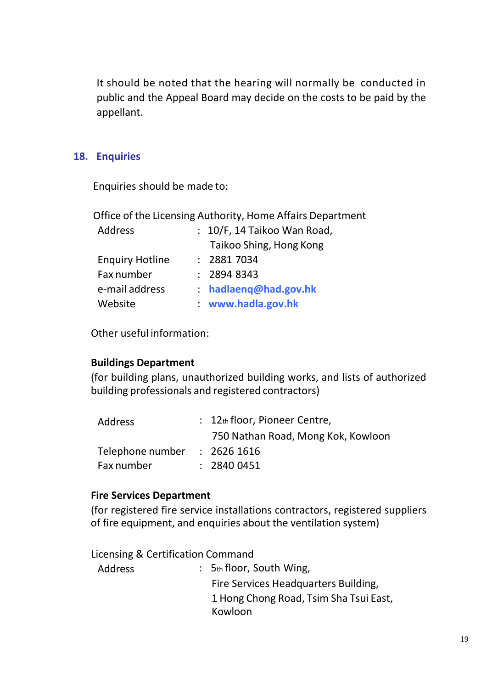It should be noted that the hearing will normally be conducted in public and the Appeal Board may decide on the costs to be paid by the appellant.

## **18. Enquiries**

Enquiries should be made to:

Office of the Licensing Authority, Home Affairs Department

| Address                | : 10/F, 14 Taikoo Wan Road, |
|------------------------|-----------------------------|
|                        | Taikoo Shing, Hong Kong     |
| <b>Enquiry Hotline</b> | : 28817034                  |
| Fax number             | : 28948343                  |
| e-mail address         | $:$ hadlaeng@had.gov.hk     |
| Website                | www.hadla.gov.hk            |

Other useful information:

# **Buildings Department**

(for building plans, unauthorized building works, and lists of authorized building professionals and registered contractors)

|                  | : 12th floor, Pioneer Centre,      |
|------------------|------------------------------------|
|                  | 750 Nathan Road, Mong Kok, Kowloon |
| Telephone number | : 26261616                         |
|                  | : 28400451                         |
|                  |                                    |

# **Fire Services Department**

(for registered fire service installations contractors, registered suppliers of fire equipment, and enquiries about the ventilation system)

Licensing & Certification Command

| Address | : $5th$ floor, South Wing,             |
|---------|----------------------------------------|
|         | Fire Services Headquarters Building,   |
|         | 1 Hong Chong Road, Tsim Sha Tsui East, |
|         | Kowloon                                |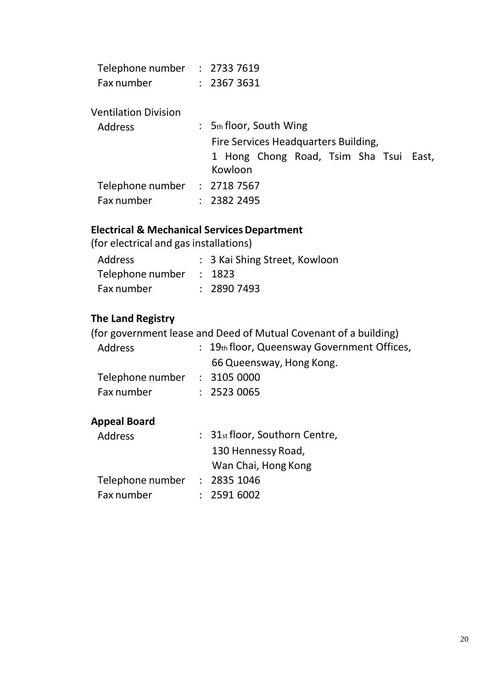| Telephone number | : 27337619 |
|------------------|------------|
| Fax number       | : 23673631 |

#### Ventilation Division

| Address                      |  | $: 5th$ floor, South Wing                         |  |  |  |  |  |
|------------------------------|--|---------------------------------------------------|--|--|--|--|--|
|                              |  | Fire Services Headquarters Building,              |  |  |  |  |  |
|                              |  | 1 Hong Chong Road, Tsim Sha Tsui East,<br>Kowloon |  |  |  |  |  |
| Telephone number : 2718 7567 |  |                                                   |  |  |  |  |  |
| Fax number                   |  | : 23822495                                        |  |  |  |  |  |

# **Electrical & Mechanical ServicesDepartment**

(for electrical and gas installations)

| <b>Address</b>          | : 3 Kai Shing Street, Kowloon |
|-------------------------|-------------------------------|
| Telephone number : 1823 |                               |
| Fax number              | : 28907493                    |

# **The Land Registry**

(for government lease and Deed of Mutual Covenant of a building)

| Address                      | $\therefore$ 19th floor, Queensway Government Offices, |
|------------------------------|--------------------------------------------------------|
|                              | 66 Queensway, Hong Kong.                               |
| Telephone number : 3105 0000 |                                                        |
| Fax number                   | : 25230065                                             |

# **Appeal Board**

| <b>Address</b>   | : 31st floor, Southorn Centre, |
|------------------|--------------------------------|
|                  | 130 Hennessy Road,             |
|                  | Wan Chai, Hong Kong            |
| Telephone number | : 28351046                     |
| Fax number       | : 25916002                     |
|                  |                                |